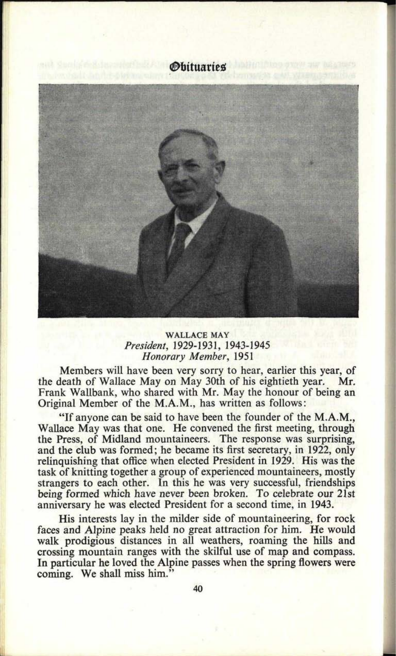



## **; WALLACE MAY** *President,* 1929-1931, 1943-1945 *Honorary Member,* 1951

Members will have been very sorry to hear, earlier this year, of the death of Wallace May on May 30th of his eightieth year. Mr. Frank Wallbank, who shared with Mr. May the honour of being an Original Member of the M.A.M., has written as follows:

"If anyone can be said to have been the founder of the M.A.M., Wallace May was that one. He convened the first meeting, through the Press, of Midland mountaineers. The response was surprising, and the club was formed; he became its first secretary, in 1922, only relinquishing that office when elected President in 1929. His was the task of knitting together a group of experienced mountaineers, mostly strangers to each other. In this he was very successful, friendships being formed which have never been broken. To celebrate our 21st anniversary he was elected President for a second time, in 1943.

His interests lay in the milder side of mountaineering, for rock faces and Alpine peaks held no great attraction for him. He would walk prodigious distances in all weathers, roaming the hills and crossing mountain ranges with the skilful use of map and compass. In particular he loved the Alpine passes when the spring flowers were coming. We shall miss him."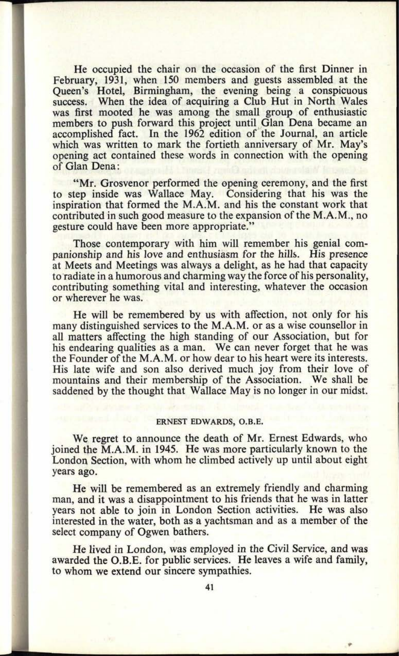He occupied the chair on the occasion of the first Dinner in February, 1931, when 150 members and guests assembled at the Queen's Hotel, Birmingham, the evening being a conspicuous success. When the idea of acquiring a Club Hut in North Wales was first mooted he was among the small group of enthusiastic members to push forward this project until Glan Dena became an accomplished fact. In the 1962 edition of the Journal, an article which was written to mark the fortieth anniversary of Mr. May's opening act contained these words in connection with the opening of Glan Dena:

**48. 0900**

"Mr. Grosvenor performed the opening ceremony, and the first to step inside was Wallace May. Considering that his was the inspiration that formed the M.A.M. and his the constant work that contributed in such good measure to the expansion of the M.A.M., no gesture could have been more appropriate."

Those contemporary with him will remember his genial companionship and his love and enthusiasm for the hills. His presence at Meets and Meetings was always a delight, as he had that capacity to radiate in a humorous and charming way the force of his personality, contributing something vital and interesting, whatever the occasion or wherever he was.

He will be remembered by us with affection, not only for his many distinguished services to the M.A.M. or as a wise counsellor in all matters affecting the high standing of our Association, but for his endearing qualities as a man. We can never forget that he was the Founder of the M.A.M. or how dear to his heart were its interests. His late wife and son also derived much joy from their love of mountains and their membership of the Association. We shall be saddened by the thought that Wallace May is no longer in our midst.

## ERNEST **EDWARDS, O.B.E.**

We regret to announce the death of Mr. Ernest Edwards, who joined the M.A.M. in 1945. He was more particularly known to the London Section, with whom he climbed actively up until about eight years ago.

He will be remembered as an extremely friendly and charming man, and it was a disappointment to his friends that he was in latter years not able to join in London Section activities. He was also interested in the water, both as a yachtsman and as a member of the select company of Ogwen bathers.

He lived in London, was employed in the Civil Service, and was awarded the O.B.E. for public services. He leaves a wife and family, to whom we extend our sincere sympathies.